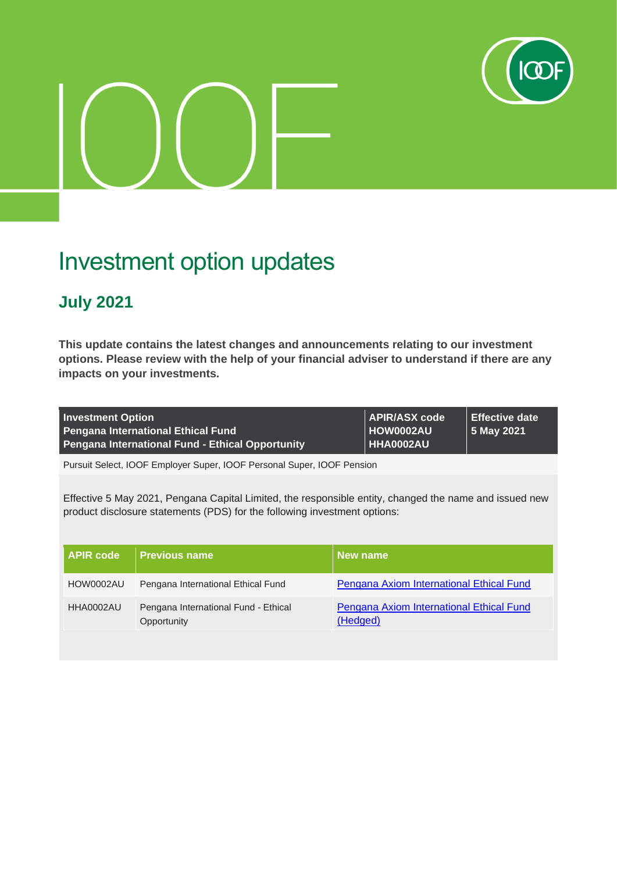

## Investment option updates

## **July 2021**

**This update contains the latest changes and announcements relating to our investment options. Please review with the help of your financial adviser to understand if there are any impacts on your investments.**

| <b>Investment Option</b>                                | <b>APIR/ASX code</b> | ∣ Effective date   |
|---------------------------------------------------------|----------------------|--------------------|
| <b>Pengana International Ethical Fund</b>               | <b>∣HOW0002AU</b>    | $\vert$ 5 May 2021 |
| <b>Pengana International Fund - Ethical Opportunity</b> | HHA0002AU            |                    |

Pursuit Select, IOOF Employer Super, IOOF Personal Super, IOOF Pension

Effective 5 May 2021, Pengana Capital Limited, the responsible entity, changed the name and issued new product disclosure statements (PDS) for the following investment options:

| l APIR code l | <b>Previous name</b>                                | New name                                                    |
|---------------|-----------------------------------------------------|-------------------------------------------------------------|
| HOW0002AU     | Pengana International Ethical Fund                  | Pengana Axiom International Ethical Fund                    |
| HHA0002AU     | Pengana International Fund - Ethical<br>Opportunity | <b>Pengana Axiom International Ethical Fund</b><br>(Hedged) |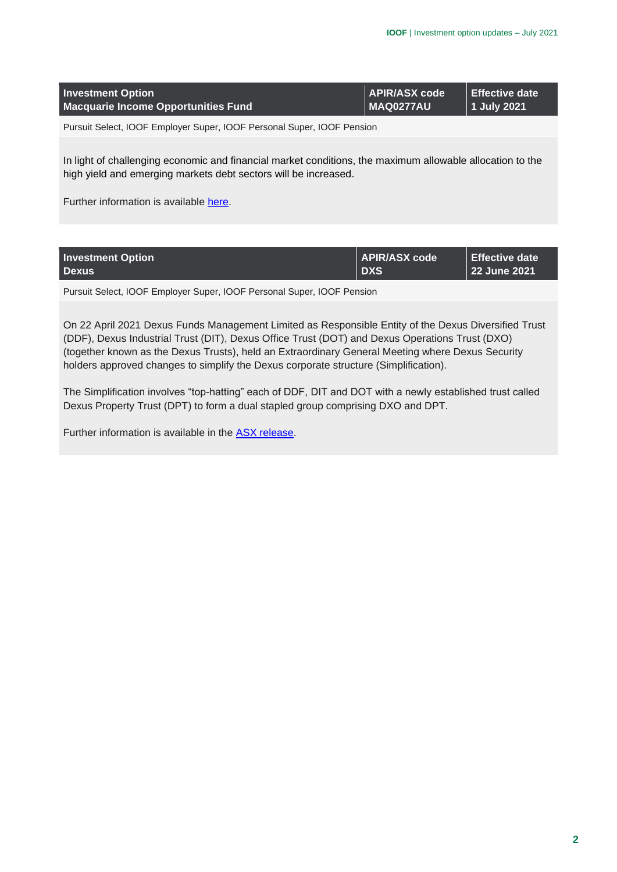| <b>Investment Option</b><br>Macquarie Income Opportunities Fund        | APIR/ASX code<br><b>MAQ0277AU</b> | <b>Effective date</b><br>  1 July 2021 |
|------------------------------------------------------------------------|-----------------------------------|----------------------------------------|
| Pursuit Select, IOOF Employer Super, IOOF Personal Super, IOOF Pension |                                   |                                        |
|                                                                        |                                   |                                        |

In light of challenging economic and financial market conditions, the maximum allowable allocation to the high yield and emerging markets debt sectors will be increased.

Further information is available [here.](https://microsite.ioof.com.au/__data/assets/pdf_file/0020/441506/2021-07-01-Macquarie-Income-Opportunities-Fund.pdf)

| <b>Investment Option</b> | APIR/ASX code | Effective date |
|--------------------------|---------------|----------------|
| <b>Dexus</b>             | <b>DXS</b>    | 22 June 2021   |
|                          |               |                |

Pursuit Select, IOOF Employer Super, IOOF Personal Super, IOOF Pension

On 22 April 2021 Dexus Funds Management Limited as Responsible Entity of the Dexus Diversified Trust (DDF), Dexus Industrial Trust (DIT), Dexus Office Trust (DOT) and Dexus Operations Trust (DXO) (together known as the Dexus Trusts), held an Extraordinary General Meeting where Dexus Security holders approved changes to simplify the Dexus corporate structure (Simplification).

The Simplification involves "top-hatting" each of DDF, DIT and DOT with a newly established trust called Dexus Property Trust (DPT) to form a dual stapled group comprising DXO and DPT.

Further information is available in the [ASX release.](https://microsite.ioof.com.au/__data/assets/pdf_file/0014/441500/2021-06-22-DXS-ASX-release.pdf)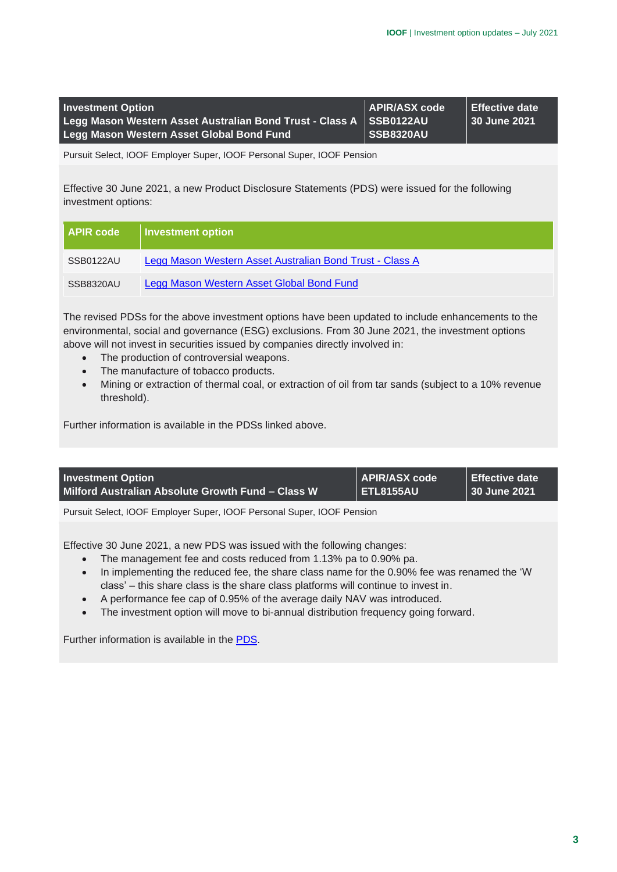| <b>Investment Option</b>                                             | <b>II APIR/ASX code</b> I | l Effective date |
|----------------------------------------------------------------------|---------------------------|------------------|
| Legg Mason Western Asset Australian Bond Trust - Class A   SSB0122AU |                           | 30 June 2021     |
| Legg Mason Western Asset Global Bond Fund                            | ∣SSB8320AU                |                  |

Pursuit Select, IOOF Employer Super, IOOF Personal Super, IOOF Pension

Effective 30 June 2021, a new Product Disclosure Statements (PDS) were issued for the following investment options:

| <b>APIR code</b> | Investment option                                        |
|------------------|----------------------------------------------------------|
| SSB0122AU        | Legg Mason Western Asset Australian Bond Trust - Class A |
| SSB8320AU        | Legg Mason Western Asset Global Bond Fund                |

The revised PDSs for the above investment options have been updated to include enhancements to the environmental, social and governance (ESG) exclusions. From 30 June 2021, the investment options above will not invest in securities issued by companies directly involved in:

- The production of controversial weapons.
- The manufacture of tobacco products.
- Mining or extraction of thermal coal, or extraction of oil from tar sands (subject to a 10% revenue threshold).

Further information is available in the PDSs linked above.

| <b>Investment Option</b>                          | <b>APIR/ASX code</b> | Effective date |
|---------------------------------------------------|----------------------|----------------|
| Milford Australian Absolute Growth Fund - Class W | ETL8155AU            | 30 June 2021   |

Pursuit Select, IOOF Employer Super, IOOF Personal Super, IOOF Pension

Effective 30 June 2021, a new PDS was issued with the following changes:

- The management fee and costs reduced from 1.13% pa to 0.90% pa.
- In implementing the reduced fee, the share class name for the 0.90% fee was renamed the 'W class' – this share class is the share class platforms will continue to invest in.
- A performance fee cap of 0.95% of the average daily NAV was introduced.
- The investment option will move to bi-annual distribution frequency going forward.

Further information is available in the [PDS.](https://microsite.ioof.com.au/__data/assets/pdf_file/0017/441503/2021-06-30-Milford-Australian-Absolute-Growth-Fund-PDS.pdf)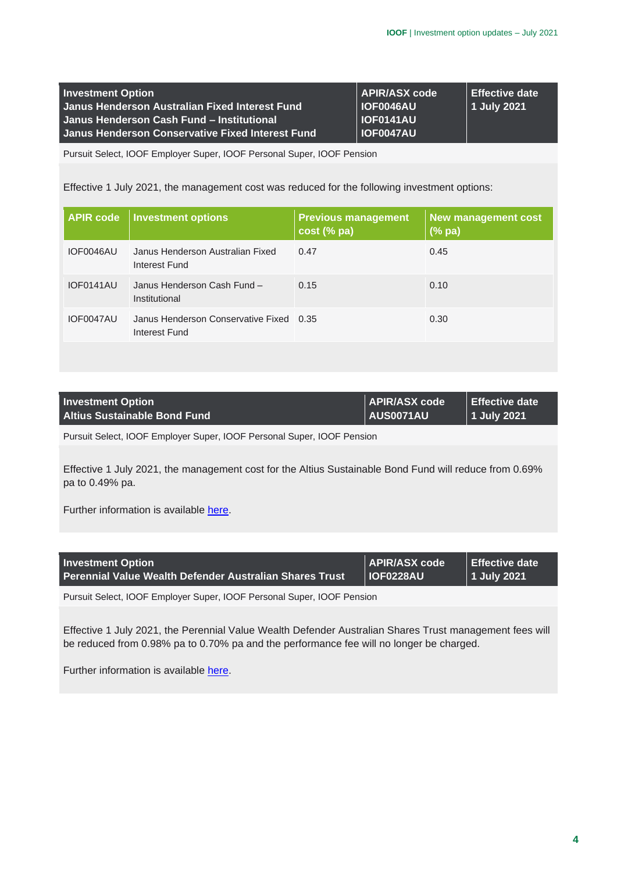| <b>Investment Option</b>                         | <b>APIR/ASX code</b> | <b>Effective date</b> |
|--------------------------------------------------|----------------------|-----------------------|
| Janus Henderson Australian Fixed Interest Fund   | <b>IOF0046AU</b>     | 1 July 2021           |
| Janus Henderson Cash Fund - Institutional        | <b>IOF0141AU</b>     |                       |
| Janus Henderson Conservative Fixed Interest Fund | <b>IOF0047AU</b>     |                       |

Pursuit Select, IOOF Employer Super, IOOF Personal Super, IOOF Pension

Effective 1 July 2021, the management cost was reduced for the following investment options:

| <b>APIR code</b> | <b>Investment options</b>                                | <b>Previous management</b><br>cost (% pa) | <b>New management cost</b><br>$(%$ (% pa) |
|------------------|----------------------------------------------------------|-------------------------------------------|-------------------------------------------|
| IOF0046AU        | Janus Henderson Australian Fixed<br>Interest Fund        | 0.47                                      | 0.45                                      |
| IOF0141AU        | Janus Henderson Cash Fund -<br>Institutional             | 0.15                                      | 0.10                                      |
| IOF0047AU        | Janus Henderson Conservative Fixed 0.35<br>Interest Fund |                                           | 0.30                                      |

| <b>Investment Option</b>            | APIR/ASX code    | ∣ Effective date     |
|-------------------------------------|------------------|----------------------|
| <b>Altius Sustainable Bond Fund</b> | <b>AUS0071AU</b> | 1 July 2021 <b> </b> |

Pursuit Select, IOOF Employer Super, IOOF Personal Super, IOOF Pension

Effective 1 July 2021, the management cost for the Altius Sustainable Bond Fund will reduce from 0.69% pa to 0.49% pa.

Further information is available [here.](https://microsite.ioof.com.au/__data/assets/pdf_file/0018/441504/2021-07-01-ASBF-Change-in-Management-Fee.pdf)

| <b>Investment Option</b>                                | <b>APIR/ASX code</b> | $\blacksquare$ Effective date |
|---------------------------------------------------------|----------------------|-------------------------------|
| Perennial Value Wealth Defender Australian Shares Trust | <b>IOF0228AU</b>     | $\vert$ 1 July 2021           |
|                                                         |                      |                               |

Pursuit Select, IOOF Employer Super, IOOF Personal Super, IOOF Pension

Effective 1 July 2021, the Perennial Value Wealth Defender Australian Shares Trust management fees will be reduced from 0.98% pa to 0.70% pa and the performance fee will no longer be charged.

Further information is available [here.](https://microsite.ioof.com.au/__data/assets/pdf_file/0004/441508/2021-07-01-PVWD-Fee-Changes.pdf)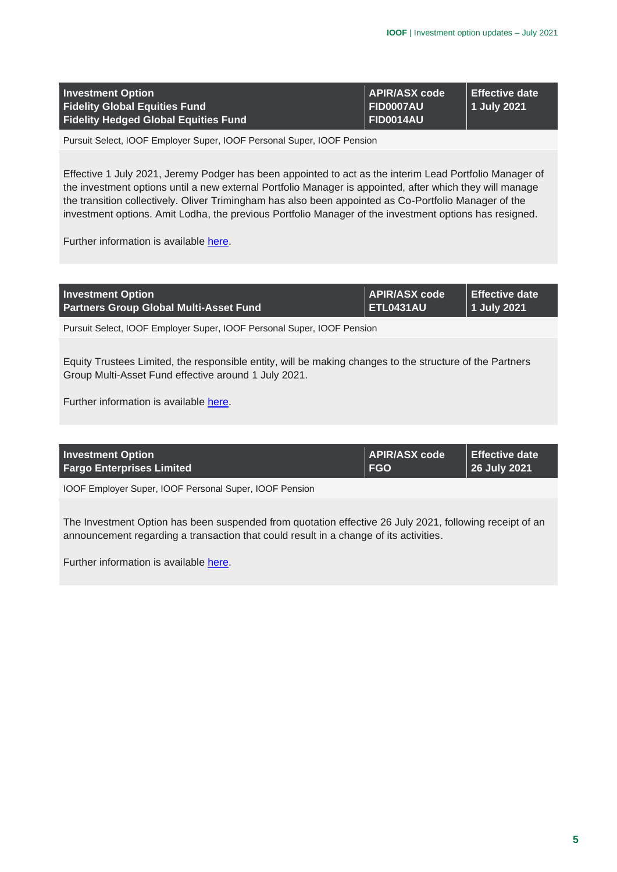| <b>Investment Option</b>                    | APIR/ASX code         | Effective date |
|---------------------------------------------|-----------------------|----------------|
| <b>Fidelity Global Equities Fund</b>        | ∣ FID0007AU           | 1 July 2021\   |
| <b>Fidelity Hedged Global Equities Fund</b> | $\parallel$ FID0014AU |                |

Pursuit Select, IOOF Employer Super, IOOF Personal Super, IOOF Pension

Effective 1 July 2021, Jeremy Podger has been appointed to act as the interim Lead Portfolio Manager of the investment options until a new external Portfolio Manager is appointed, after which they will manage the transition collectively. Oliver Trimingham has also been appointed as Co-Portfolio Manager of the investment options. Amit Lodha, the previous Portfolio Manager of the investment options has resigned.

Further information is available [here.](https://microsite.ioof.com.au/__data/assets/pdf_file/0019/441505/2021-07-01-Fidelity-Change-of-Portfolio-Manager.pdf)

| <b>Investment Option</b>                                               | APIR/ASX code                      | Effective date |
|------------------------------------------------------------------------|------------------------------------|----------------|
| <b>Partners Group Global Multi-Asset Fund</b>                          | $\overline{\phantom{a}}$ ETL0431AU | 1 July 2021    |
| Pursuit Select, IOOF Employer Super, IOOF Personal Super, IOOF Pension |                                    |                |

Equity Trustees Limited, the responsible entity, will be making changes to the structure of the Partners Group Multi-Asset Fund effective around 1 July 2021.

Further information is available [here.](https://microsite.ioof.com.au/__data/assets/pdf_file/0003/441507/2021-07-01-Partners-Group-update.pdf)

| <b>Investment Option</b>         | APIR/ASX code                | Effective date |
|----------------------------------|------------------------------|----------------|
| <b>Fargo Enterprises Limited</b> | $\overline{\phantom{a}}$ FGO | 26 July 2021   |
|                                  |                              |                |

IOOF Employer Super, IOOF Personal Super, IOOF Pension

The Investment Option has been suspended from quotation effective 26 July 2021, following receipt of an announcement regarding a transaction that could result in a change of its activities.

Further information is available [here.](https://microsite.ioof.com.au/__data/assets/pdf_file/0005/441509/2021-07-26-Fargo-ASX.pdf)